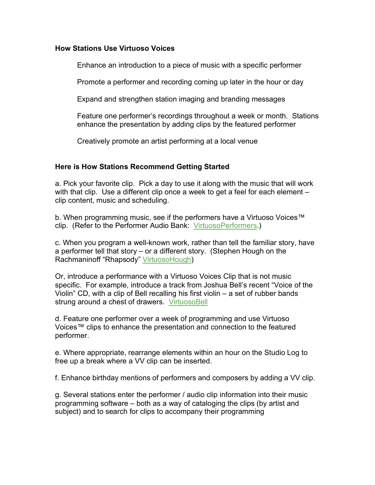## **How Stations Use Virtuoso Voices**

Enhance an introduction to a piece of music with a specific performer

Promote a performer and recording coming up later in the hour or day

Expand and strengthen station imaging and branding messages

Feature one performer's recordings throughout a week or month. Stations enhance the presentation by adding clips by the featured performer

Creatively promote an artist performing at a local venue

## **Here is How Stations Recommend Getting Started**

a. Pick your favorite clip. Pick a day to use it along with the music that will work with that clip. Use a different clip once a week to get a feel for each element – clip content, music and scheduling.

b. When programming music, see if the performers have a Virtuoso Voices™ clip. (Refer to the Performer Audio Bank: VirtuosoPerformers.)

c. When you program a well-known work, rather than tell the familiar story, have a performer tell that story – or a different story. (Stephen Hough on the Rachmaninoff "Rhapsody" VirtuosoHough)

Or, introduce a performance with a Virtuoso Voices Clip that is not music specific. For example, introduce a track from Joshua Bell's recent "Voice of the Violin" CD, with a clip of Bell recalling his first violin – a set of rubber bands strung around a chest of drawers. VirtuosoBell

d. Feature one performer over a week of programming and use Virtuoso Voices™ clips to enhance the presentation and connection to the featured performer.

e. Where appropriate, rearrange elements within an hour on the Studio Log to free up a break where a VV clip can be inserted.

f. Enhance birthday mentions of performers and composers by adding a VV clip.

g. Several stations enter the performer / audio clip information into their music programming software – both as a way of cataloging the clips (by artist and subject) and to search for clips to accompany their programming